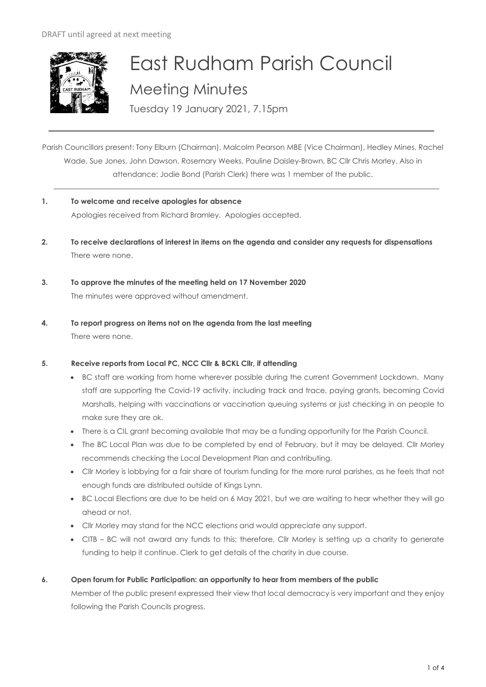

# East Rudham Parish Council Meeting Minutes

Tuesday 19 January 2021, 7.15pm

Parish Councillors present: Tony Elburn (Chairman), Malcolm Pearson MBE (Vice Chairman), Hedley Mines, Rachel Wade, Sue Jones, John Dawson, Rosemary Weeks, Pauline Daisley-Brown, BC Cllr Chris Morley. Also in attendance: Jodie Bond (Parish Clerk) there was 1 member of the public.

- **1. To welcome and receive apologies for absence** Apologies received from Richard Bramley. Apologies accepted.
- **2. To receive declarations of interest in items on the agenda and consider any requests for dispensations**  There were none.
- **3. To approve the minutes of the meeting held on 17 November 2020**  The minutes were approved without amendment.
- **4. To report progress on items not on the agenda from the last meeting**  There were none.

# **5. Receive reports from Local PC, NCC Cllr & BCKL Cllr, if attending**

- BC staff are working from home wherever possible during the current Government Lockdown. Many staff are supporting the Covid-19 activity, including track and trace, paying grants, becoming Covid Marshalls, helping with vaccinations or vaccination queuing systems or just checking in on people to make sure they are ok.
- There is a CIL grant becoming available that may be a funding opportunity for the Parish Council.
- The BC Local Plan was due to be completed by end of February, but it may be delayed. Cllr Morley recommends checking the Local Development Plan and contributing.
- Cllr Morley is lobbying for a fair share of tourism funding for the more rural parishes, as he feels that not enough funds are distributed outside of Kings Lynn.
- BC Local Elections are due to be held on 6 May 2021, but we are waiting to hear whether they will go ahead or not.
- Cllr Morley may stand for the NCC elections and would appreciate any support.
- CITB BC will not award any funds to this; therefore, Cllr Morley is setting up a charity to generate funding to help it continue. Clerk to get details of the charity in due course.

# **6. Open forum for Public Participation: an opportunity to hear from members of the public**

Member of the public present expressed their view that local democracy is very important and they enjoy following the Parish Councils progress.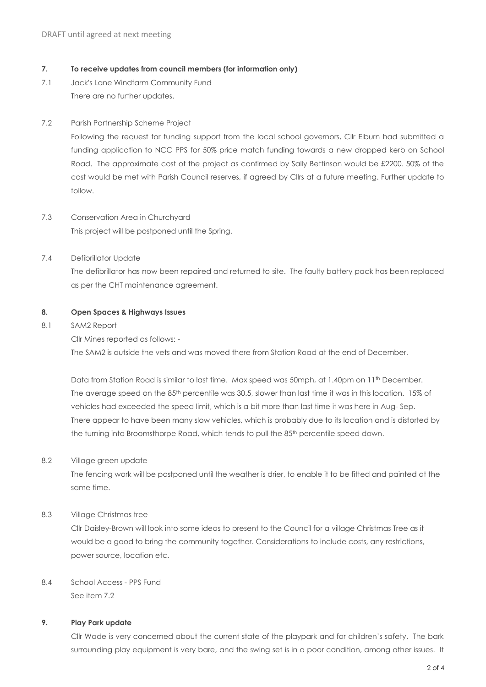## **7. To receive updates from council members (for information only)**

7.1 Jack's Lane Windfarm Community Fund There are no further updates.

# 7.2 Parish Partnership Scheme Project

Following the request for funding support from the local school governors, Cllr Elburn had submitted a funding application to NCC PPS for 50% price match funding towards a new dropped kerb on School Road. The approximate cost of the project as confirmed by Sally Bettinson would be £2200. 50% of the cost would be met with Parish Council reserves, if agreed by Cllrs at a future meeting. Further update to follow.

7.3 Conservation Area in Churchyard This project will be postponed until the Spring.

# 7.4 Defibrillator Update

The defibrillator has now been repaired and returned to site. The faulty battery pack has been replaced as per the CHT maintenance agreement.

## **8. Open Spaces & Highways Issues**

8.1 SAM2 Report

Cllr Mines reported as follows: -

The SAM2 is outside the vets and was moved there from Station Road at the end of December.

Data from Station Road is similar to last time. Max speed was 50mph, at 1.40pm on 11<sup>th</sup> December. The average speed on the 85<sup>th</sup> percentile was 30.5, slower than last time it was in this location. 15% of vehicles had exceeded the speed limit, which is a bit more than last time it was here in Aug- Sep. There appear to have been many slow vehicles, which is probably due to its location and is distorted by the turning into Broomsthorpe Road, which tends to pull the 85<sup>th</sup> percentile speed down.

# 8.2 Village green update

The fencing work will be postponed until the weather is drier, to enable it to be fitted and painted at the same time.

# 8.3 Village Christmas tree

Cllr Daisley-Brown will look into some ideas to present to the Council for a village Christmas Tree as it would be a good to bring the community together. Considerations to include costs, any restrictions, power source, location etc.

# 8.4 School Access - PPS Fund See item 7.2

# **9. Play Park update**

Cllr Wade is very concerned about the current state of the playpark and for children's safety. The bark surrounding play equipment is very bare, and the swing set is in a poor condition, among other issues. It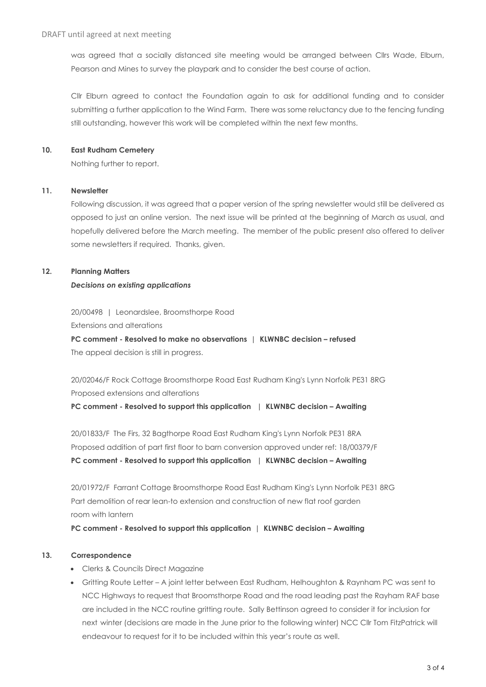was agreed that a socially distanced site meeting would be arranged between Cllrs Wade, Elburn, Pearson and Mines to survey the playpark and to consider the best course of action.

Cllr Elburn agreed to contact the Foundation again to ask for additional funding and to consider submitting a further application to the Wind Farm. There was some reluctancy due to the fencing funding still outstanding, however this work will be completed within the next few months.

## **10. East Rudham Cemetery**

Nothing further to report.

## **11. Newsletter**

Following discussion, it was agreed that a paper version of the spring newsletter would still be delivered as opposed to just an online version. The next issue will be printed at the beginning of March as usual, and hopefully delivered before the March meeting. The member of the public present also offered to deliver some newsletters if required. Thanks, given.

# **12. Planning Matters**

## *Decisions on existing applications*

20/00498 | Leonardslee, Broomsthorpe Road Extensions and alterations

**PC comment - Resolved to make no observations | KLWNBC decision – refused** The appeal decision is still in progress.

20/02046/F Rock Cottage Broomsthorpe Road East Rudham King's Lynn Norfolk PE31 8RG Proposed extensions and alterations

**PC comment - Resolved to support this application | KLWNBC decision – Awaiting**

20/01833/F The Firs, 32 Bagthorpe Road East Rudham King's Lynn Norfolk PE31 8RA Proposed addition of part first floor to barn conversion approved under ref: 18/00379/F **PC comment - Resolved to support this application | KLWNBC decision – Awaiting**

20/01972/F Farrant Cottage Broomsthorpe Road East Rudham King's Lynn Norfolk PE31 8RG Part demolition of rear lean-to extension and construction of new flat roof garden room with lantern

**PC comment - Resolved to support this application | KLWNBC decision – Awaiting**

# **13. Correspondence**

- Clerks & Councils Direct Magazine
- Gritting Route Letter A joint letter between East Rudham, Helhoughton & Raynham PC was sent to NCC Highways to request that Broomsthorpe Road and the road leading past the Rayham RAF base are included in the NCC routine gritting route. Sally Bettinson agreed to consider it for inclusion for next winter (decisions are made in the June prior to the following winter) NCC Cllr Tom FitzPatrick will endeavour to request for it to be included within this year's route as well.